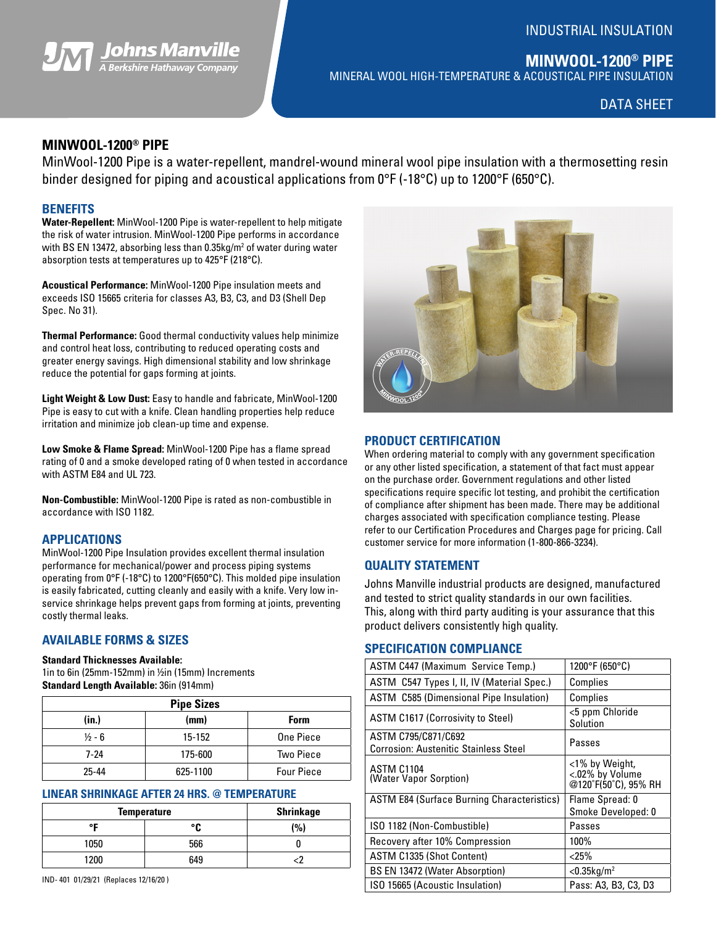## INDUSTRIAL INSULATION



**MINWOOL-1200® PIPE** MINERAL WOOL HIGH-TEMPERATURE & ACOUSTICAL PIPE INSULATION

DATA SHEET

# **MINWOOL-1200® PIPE**

MinWool-1200 Pipe is a water-repellent, mandrel-wound mineral wool pipe insulation with a thermosetting resin binder designed for piping and acoustical applications from 0°F (-18°C) up to 1200°F (650°C).

#### **BENEFITS**

**Water-Repellent:** MinWool-1200 Pipe is water-repellent to help mitigate the risk of water intrusion. MinWool-1200 Pipe performs in accordance with BS EN 13472, absorbing less than 0.35kg/m<sup>2</sup> of water during water absorption tests at temperatures up to 425°F (218°C).

**Acoustical Performance:** MinWool-1200 Pipe insulation meets and exceeds ISO 15665 criteria for classes A3, B3, C3, and D3 (Shell Dep Spec. No 31).

**Thermal Performance:** Good thermal conductivity values help minimize and control heat loss, contributing to reduced operating costs and greater energy savings. High dimensional stability and low shrinkage reduce the potential for gaps forming at joints.

**Light Weight & Low Dust:** Easy to handle and fabricate, MinWool-1200 Pipe is easy to cut with a knife. Clean handling properties help reduce irritation and minimize job clean-up time and expense.

**Low Smoke & Flame Spread:** MinWool-1200 Pipe has a flame spread rating of 0 and a smoke developed rating of 0 when tested in accordance with ASTM E84 and UL 723.

**Non-Combustible:** MinWool-1200 Pipe is rated as non-combustible in accordance with ISO 1182.

### **APPLICATIONS**

MinWool-1200 Pipe Insulation provides excellent thermal insulation performance for mechanical/power and process piping systems operating from 0°F (-18°C) to 1200°F(650°C). This molded pipe insulation is easily fabricated, cutting cleanly and easily with a knife. Very low inservice shrinkage helps prevent gaps from forming at joints, preventing costly thermal leaks.

# **AVAILABLE FORMS & SIZES**

#### **Standard Thicknesses Available:**

1in to 6in (25mm-152mm) in ½in (15mm) Increments **Standard Length Available:** 36in (914mm)

| <b>Pipe Sizes</b> |          |                   |  |  |  |  |  |  |
|-------------------|----------|-------------------|--|--|--|--|--|--|
| (in.)             | (mm)     | <b>Form</b>       |  |  |  |  |  |  |
| $\frac{1}{2}$ - 6 | 15-152   | One Piece         |  |  |  |  |  |  |
| $7-24$            | 175-600  | <b>Two Piece</b>  |  |  |  |  |  |  |
| 25-44             | 625-1100 | <b>Four Piece</b> |  |  |  |  |  |  |

#### **LINEAR SHRINKAGE AFTER 24 HRS. @ TEMPERATURE**

| <b>Temperature</b> | <b>Shrinkage</b> |                 |
|--------------------|------------------|-----------------|
| ᅂ                  | ۰ρ               | $\frac{10}{10}$ |
| 1050               | 566              |                 |
| 1200               | 649              |                 |

IND- 401 01/29/21 (Replaces 12/16/20 )



#### **PRODUCT CERTIFICATION**

When ordering material to comply with any government specification or any other listed specification, a statement of that fact must appear on the purchase order. Government regulations and other listed specifications require specific lot testing, and prohibit the certification of compliance after shipment has been made. There may be additional charges associated with specification compliance testing. Please refer to our Certification Procedures and Charges page for pricing. Call customer service for more information (1-800-866-3234).

#### **QUALITY STATEMENT**

Johns Manville industrial products are designed, manufactured and tested to strict quality standards in our own facilities. This, along with third party auditing is your assurance that this product delivers consistently high quality.

#### **SPECIFICATION COMPLIANCE**

| ASTM C447 (Maximum Service Temp.)                                   | 1200°F (650°C)                                            |  |  |  |  |
|---------------------------------------------------------------------|-----------------------------------------------------------|--|--|--|--|
| ASTM C547 Types I, II, IV (Material Spec.)                          | Complies                                                  |  |  |  |  |
| <b>ASTM C585 (Dimensional Pipe Insulation)</b>                      | Complies                                                  |  |  |  |  |
| <b>ASTM C1617 (Corrosivity to Steel)</b>                            | <5 ppm Chloride<br>Solution                               |  |  |  |  |
| ASTM C795/C871/C692<br><b>Corrosion: Austenitic Stainless Steel</b> | Passes                                                    |  |  |  |  |
| ASTM C1104<br>(Water Vapor Sorption)                                | <1% by Weight,<br><.02% by Volume<br>@120°F(50°C), 95% RH |  |  |  |  |
| <b>ASTM E84 (Surface Burning Characteristics)</b>                   | Flame Spread: 0<br>Smoke Developed: 0                     |  |  |  |  |
| ISO 1182 (Non-Combustible)                                          | Passes                                                    |  |  |  |  |
| Recovery after 10% Compression                                      | 100%                                                      |  |  |  |  |
| ASTM C1335 (Shot Content)                                           | $<$ 25%                                                   |  |  |  |  |
| <b>BS EN 13472 (Water Absorption)</b>                               | $<$ 0.35 $kg/m2$                                          |  |  |  |  |
| ISO 15665 (Acoustic Insulation)                                     | Pass: A3, B3, C3, D3                                      |  |  |  |  |